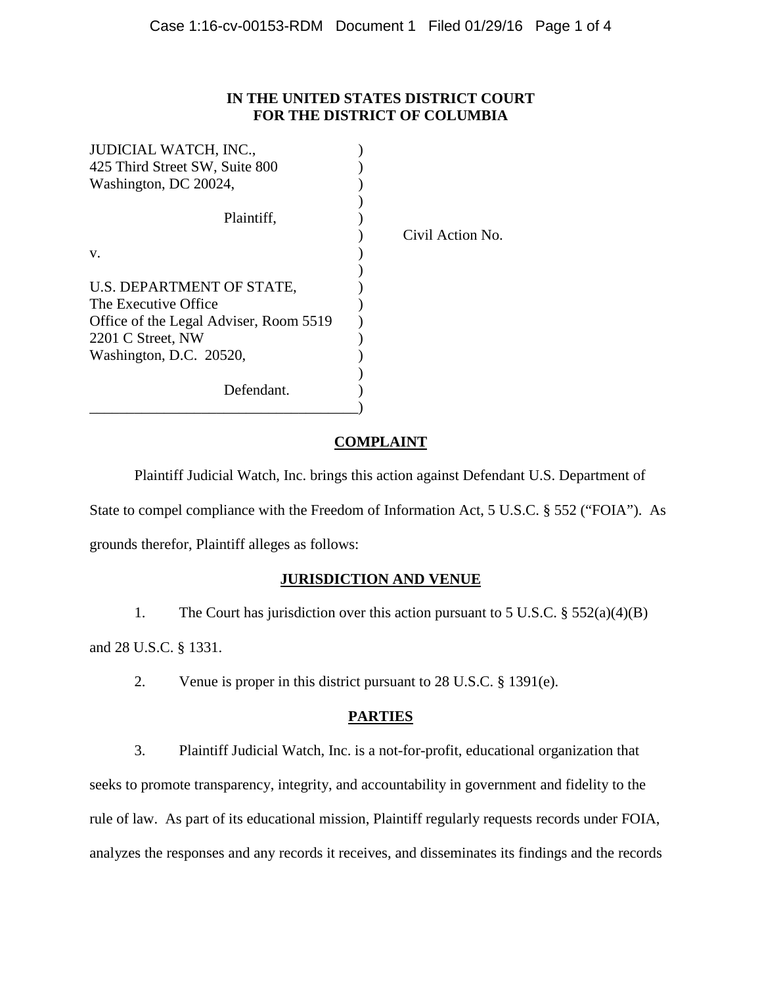## **IN THE UNITED STATES DISTRICT COURT FOR THE DISTRICT OF COLUMBIA**

| <b>JUDICIAL WATCH, INC.,</b>           |                  |
|----------------------------------------|------------------|
| 425 Third Street SW, Suite 800         |                  |
| Washington, DC 20024,                  |                  |
|                                        |                  |
| Plaintiff,                             |                  |
|                                        | Civil Action No. |
| V.                                     |                  |
|                                        |                  |
| U.S. DEPARTMENT OF STATE,              |                  |
| The Executive Office                   |                  |
| Office of the Legal Adviser, Room 5519 |                  |
| 2201 C Street, NW                      |                  |
| Washington, D.C. 20520,                |                  |
|                                        |                  |
| Defendant.                             |                  |
|                                        |                  |

# **COMPLAINT**

Plaintiff Judicial Watch, Inc. brings this action against Defendant U.S. Department of State to compel compliance with the Freedom of Information Act, 5 U.S.C. § 552 ("FOIA"). As grounds therefor, Plaintiff alleges as follows:

# **JURISDICTION AND VENUE**

1. The Court has jurisdiction over this action pursuant to 5 U.S.C. § 552(a)(4)(B) and 28 U.S.C. § 1331.

2. Venue is proper in this district pursuant to 28 U.S.C. § 1391(e).

# **PARTIES**

3. Plaintiff Judicial Watch, Inc. is a not-for-profit, educational organization that seeks to promote transparency, integrity, and accountability in government and fidelity to the rule of law. As part of its educational mission, Plaintiff regularly requests records under FOIA, analyzes the responses and any records it receives, and disseminates its findings and the records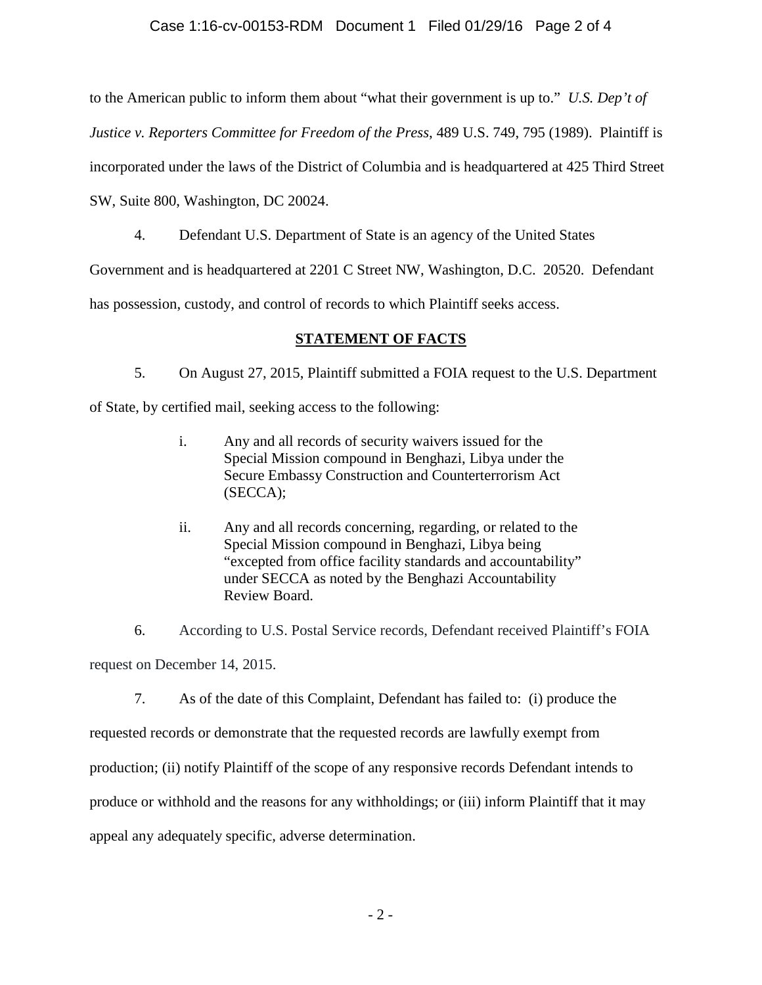### Case 1:16-cv-00153-RDM Document 1 Filed 01/29/16 Page 2 of 4

to the American public to inform them about "what their government is up to." *U.S. Dep't of* 

*Justice v. Reporters Committee for Freedom of the Press*, 489 U.S. 749, 795 (1989). Plaintiff is

incorporated under the laws of the District of Columbia and is headquartered at 425 Third Street

SW, Suite 800, Washington, DC 20024.

4. Defendant U.S. Department of State is an agency of the United States

Government and is headquartered at 2201 C Street NW, Washington, D.C. 20520. Defendant

has possession, custody, and control of records to which Plaintiff seeks access.

# **STATEMENT OF FACTS**

5. On August 27, 2015, Plaintiff submitted a FOIA request to the U.S. Department

of State, by certified mail, seeking access to the following:

- i. Any and all records of security waivers issued for the Special Mission compound in Benghazi, Libya under the Secure Embassy Construction and Counterterrorism Act (SECCA);
- ii. Any and all records concerning, regarding, or related to the Special Mission compound in Benghazi, Libya being "excepted from office facility standards and accountability" under SECCA as noted by the Benghazi Accountability Review Board.

6. According to U.S. Postal Service records, Defendant received Plaintiff's FOIA request on December 14, 2015.

7. As of the date of this Complaint, Defendant has failed to: (i) produce the requested records or demonstrate that the requested records are lawfully exempt from production; (ii) notify Plaintiff of the scope of any responsive records Defendant intends to produce or withhold and the reasons for any withholdings; or (iii) inform Plaintiff that it may appeal any adequately specific, adverse determination.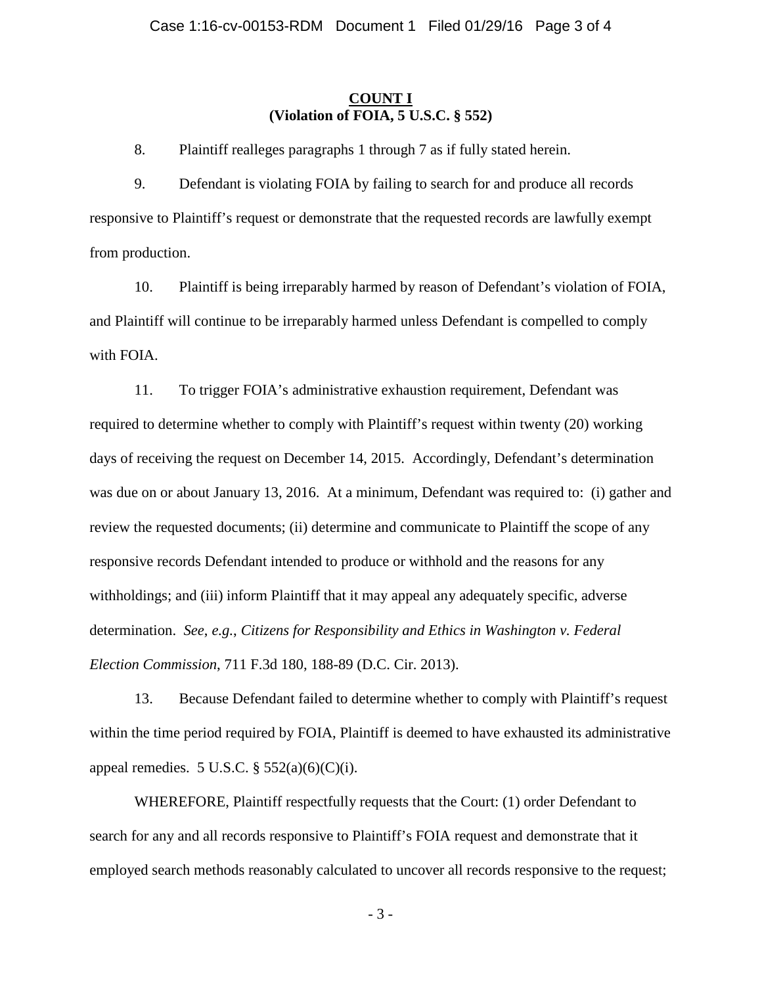#### **COUNT I (Violation of FOIA, 5 U.S.C. § 552)**

8. Plaintiff realleges paragraphs 1 through 7 as if fully stated herein.

9. Defendant is violating FOIA by failing to search for and produce all records responsive to Plaintiff's request or demonstrate that the requested records are lawfully exempt from production.

10. Plaintiff is being irreparably harmed by reason of Defendant's violation of FOIA, and Plaintiff will continue to be irreparably harmed unless Defendant is compelled to comply with FOIA.

11. To trigger FOIA's administrative exhaustion requirement, Defendant was required to determine whether to comply with Plaintiff's request within twenty (20) working days of receiving the request on December 14, 2015. Accordingly, Defendant's determination was due on or about January 13, 2016. At a minimum, Defendant was required to: (i) gather and review the requested documents; (ii) determine and communicate to Plaintiff the scope of any responsive records Defendant intended to produce or withhold and the reasons for any withholdings; and (iii) inform Plaintiff that it may appeal any adequately specific, adverse determination. *See*, *e.g.*, *Citizens for Responsibility and Ethics in Washington v. Federal Election Commission*, 711 F.3d 180, 188-89 (D.C. Cir. 2013).

13. Because Defendant failed to determine whether to comply with Plaintiff's request within the time period required by FOIA, Plaintiff is deemed to have exhausted its administrative appeal remedies. 5 U.S.C.  $\S$  552(a)(6)(C)(i).

WHEREFORE, Plaintiff respectfully requests that the Court: (1) order Defendant to search for any and all records responsive to Plaintiff's FOIA request and demonstrate that it employed search methods reasonably calculated to uncover all records responsive to the request;

- 3 -